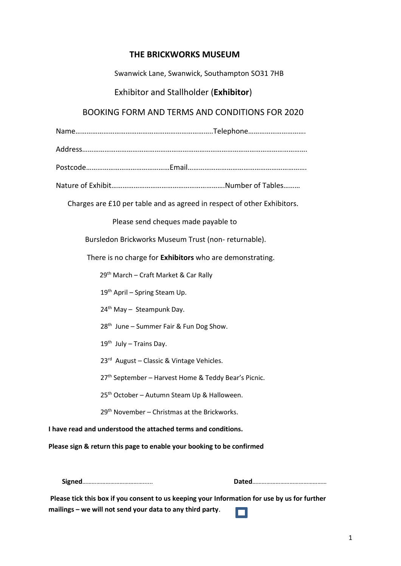# **THE BRICKWORKS MUSEUM**

Swanwick Lane, Swanwick, Southampton SO31 7HB

Exhibitor and Stallholder (**Exhibitor**)

# BOOKING FORM AND TERMS AND CONDITIONS FOR 2020

Name………………………………………………………………..Telephone………………………….

Address………………………………………………………………………………………………………….

Postcode………………………………………Email……………………………………………………….

Nature of Exhibit…………………………………………………….Number of Tables………

Charges are £10 per table and as agreed in respect of other Exhibitors.

Please send cheques made payable to

Bursledon Brickworks Museum Trust (non- returnable).

There is no charge for **Exhibitors** who are demonstrating.

29th March – Craft Market & Car Rally

19<sup>th</sup> April – Spring Steam Up.

 $24^{th}$  May - Steampunk Day.

 $28<sup>th</sup>$  June – Summer Fair & Fun Dog Show.

 $19<sup>th</sup>$  July – Trains Day.

23<sup>rd</sup> August – Classic & Vintage Vehicles.

27<sup>th</sup> September - Harvest Home & Teddy Bear's Picnic.

25<sup>th</sup> October – Autumn Steam Up & Halloween.

 $29<sup>th</sup>$  November – Christmas at the Brickworks.

**I have read and understood the attached terms and conditions.** 

**Please sign & return this page to enable your booking to be confirmed** 

**Signed**…………………………………...... **Dated**…………………………………………

**Please tick this box if you consent to us keeping your Information for use by us for further mailings – we will not send your data to any third party**.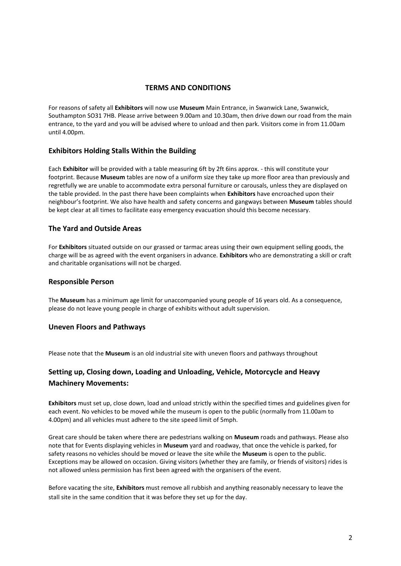### **TERMS AND CONDITIONS**

For reasons of safety all **Exhibitors** will now use **Museum** Main Entrance, in Swanwick Lane, Swanwick, Southampton SO31 7HB. Please arrive between 9.00am and 10.30am, then drive down our road from the main entrance, to the yard and you will be advised where to unload and then park. Visitors come in from 11.00am until 4.00pm.

## **Exhibitors Holding Stalls Within the Building**

Each **Exhibitor** will be provided with a table measuring 6ft by 2ft 6ins approx. - this will constitute your footprint. Because **Museum** tables are now of a uniform size they take up more floor area than previously and regretfully we are unable to accommodate extra personal furniture or carousals, unless they are displayed on the table provided. In the past there have been complaints when **Exhibitors** have encroached upon their neighbour's footprint. We also have health and safety concerns and gangways between **Museum** tables should be kept clear at all times to facilitate easy emergency evacuation should this become necessary.

## **The Yard and Outside Areas**

For **Exhibitors** situated outside on our grassed or tarmac areas using their own equipment selling goods, the charge will be as agreed with the event organisers in advance. **Exhibitors** who are demonstrating a skill or craft and charitable organisations will not be charged.

#### **Responsible Person**

The **Museum** has a minimum age limit for unaccompanied young people of 16 years old. As a consequence, please do not leave young people in charge of exhibits without adult supervision.

#### **Uneven Floors and Pathways**

Please note that the **Museum** is an old industrial site with uneven floors and pathways throughout

# **Setting up, Closing down, Loading and Unloading, Vehicle, Motorcycle and Heavy Machinery Movements:**

**Exhibitors** must set up, close down, load and unload strictly within the specified times and guidelines given for each event. No vehicles to be moved while the museum is open to the public (normally from 11.00am to 4.00pm) and all vehicles must adhere to the site speed limit of 5mph.

Great care should be taken where there are pedestrians walking on **Museum** roads and pathways. Please also note that for Events displaying vehicles in **Museum** yard and roadway, that once the vehicle is parked, for safety reasons no vehicles should be moved or leave the site while the **Museum** is open to the public. Exceptions may be allowed on occasion. Giving visitors (whether they are family, or friends of visitors) rides is not allowed unless permission has first been agreed with the organisers of the event.

Before vacating the site, **Exhibitors** must remove all rubbish and anything reasonably necessary to leave the stall site in the same condition that it was before they set up for the day.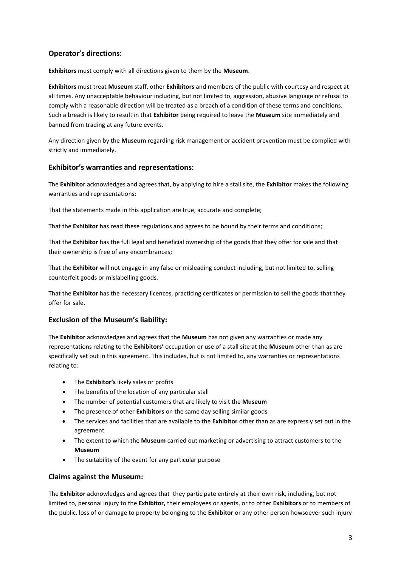# **Operator's directions:**

**Exhibitors** must comply with all directions given to them by the **Museum**.

**Exhibitors** must treat **Museum** staff, other **Exhibitors** and members of the public with courtesy and respect at all times. Any unacceptable behaviour including, but not limited to, aggression, abusive language or refusal to comply with a reasonable direction will be treated as a breach of a condition of these terms and conditions. Such a breach is likely to result in that **Exhibitor** being required to leave the **Museum** site immediately and banned from trading at any future events.

Any direction given by the **Museum** regarding risk management or accident prevention must be complied with strictly and immediately.

## **Exhibitor's warranties and representations:**

The **Exhibitor** acknowledges and agrees that, by applying to hire a stall site, the **Exhibitor** makes the following warranties and representations:

That the statements made in this application are true, accurate and complete;

That the **Exhibitor** has read these regulations and agrees to be bound by their terms and conditions;

That the **Exhibitor** has the full legal and beneficial ownership of the goods that they offer for sale and that their ownership is free of any encumbrances;

That the **Exhibitor** will not engage in any false or misleading conduct including, but not limited to, selling counterfeit goods or mislabelling goods.

That the **Exhibitor** has the necessary licences, practicing certificates or permission to sell the goods that they offer for sale.

#### **Exclusion of the Museum's liability:**

The **Exhibitor** acknowledges and agrees that the **Museum** has not given any warranties or made any representations relating to the **Exhibitors'** occupation or use of a stall site at the **Museum** other than as are specifically set out in this agreement. This includes, but is not limited to, any warranties or representations relating to:

- The **Exhibitor's** likely sales or profits
- The benefits of the location of any particular stall
- The number of potential customers that are likely to visit the **Museum**
- The presence of other **Exhibitors** on the same day selling similar goods
- The services and facilities that are available to the **Exhibitor** other than as are expressly set out in the agreement
- The extent to which the **Museum** carried out marketing or advertising to attract customers to the **Museum**
- The suitability of the event for any particular purpose

#### **Claims against the Museum:**

The **Exhibitor** acknowledges and agrees that they participate entirely at their own risk, including, but not limited to, personal injury to the **Exhibitor,** their employees or agents, or to other **Exhibitors** or to members of the public, loss of or damage to property belonging to the **Exhibitor** or any other person howsoever such injury